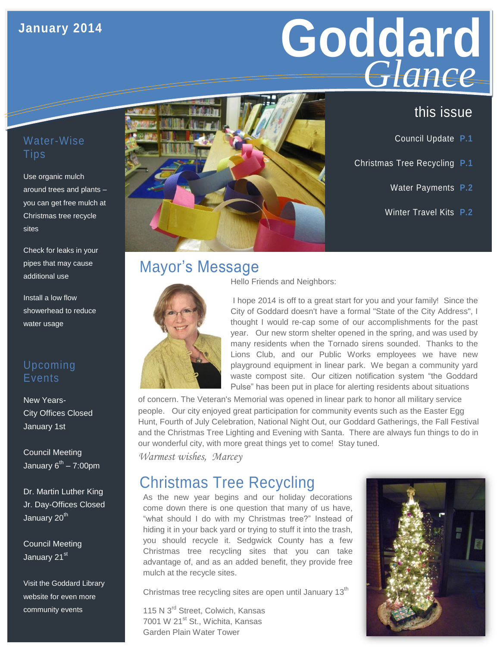# **January 2014**

# **Goddard GIGNCE**<br>this issue *Glance*

### Water-Wise **Tips**

Use organic mulch around trees and plants – you can get free mulch at Christmas tree recycle sites

Check for leaks in your pipes that may cause additional use

Install a low flow showerhead to reduce water usage

### Upcoming **Events**

New Years-City Offices Closed January 1st

Council Meeting January 6<sup>th</sup> – 7:00pm

Dr. Martin Luther King Jr. Day-Offices Closed January 20<sup>th</sup>

Council Meeting January 21<sup>st</sup>

Visit the Goddard Library website for even more community events



- Council Update **P.1**
- Christmas Tree Recycling **P.1**
	- Water Payments **P.2**
	- Winter Travel Kits **P.2**

# Mayor's Message



Hello Friends and Neighbors:

I hope 2014 is off to a great start for you and your family! Since the City of Goddard doesn't have a formal "State of the City Address", I thought I would re-cap some of our accomplishments for the past year. Our new storm shelter opened in the spring, and was used by many residents when the Tornado sirens sounded. Thanks to the Lions Club, and our Public Works employees we have new playground equipment in linear park. We began a community yard waste compost site. Our citizen notification system "the Goddard Pulse" has been put in place for alerting residents about situations

of concern. The Veteran's Memorial was opened in linear park to honor all military service people. Our city enjoyed great participation for community events such as the Easter Egg Hunt, Fourth of July Celebration, National Night Out, our Goddard Gatherings, the Fall Festival and the Christmas Tree Lighting and Evening with Santa. There are always fun things to do in our wonderful city, with more great things yet to come! Stay tuned.

*Warmest wishes, Marcey* 

# Christmas Tree Recycling

As the new year begins and our holiday decorations come down there is one question that many of us have, "what should I do with my Christmas tree?" Instead of hiding it in your back yard or trying to stuff it into the trash, you should recycle it. Sedgwick County has a few Christmas tree recycling sites that you can take advantage of, and as an added benefit, they provide free mulch at the recycle sites.

Christmas tree recycling sites are open until January  $13<sup>th</sup>$ 

115 N 3<sup>rd</sup> Street, Colwich, Kansas 7001 W 21<sup>st</sup> St., Wichita, Kansas Garden Plain Water Tower